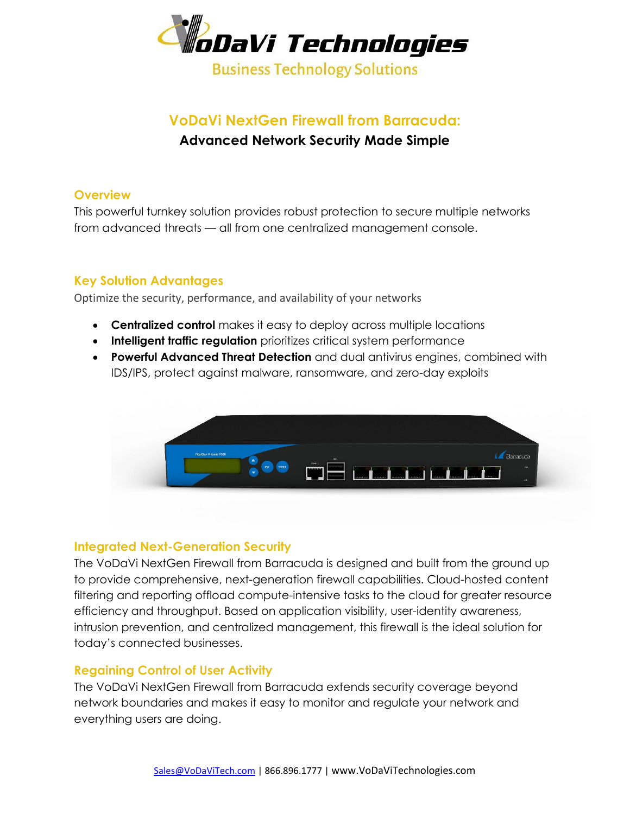

### **VoDaVi NextGen Firewall from Barracuda: Advanced Network Security Made Simple**

#### **Overview**

This powerful turnkey solution provides robust protection to secure multiple networks from advanced threats — all from one centralized management console.

#### **Key Solution Advantages**

Optimize the security, performance, and availability of your networks

- **Centralized control** makes it easy to deploy across multiple locations
- **Intelligent traffic regulation** prioritizes critical system performance
- **Powerful Advanced Threat Detection** and dual antivirus engines, combined with IDS/IPS, protect against malware, ransomware, and zero-day exploits



#### **Integrated Next-Generation Security**

The VoDaVi NextGen Firewall from Barracuda is designed and built from the ground up to provide comprehensive, next-generation firewall capabilities. Cloud-hosted content filtering and reporting offload compute-intensive tasks to the cloud for greater resource efficiency and throughput. Based on application visibility, user-identity awareness, intrusion prevention, and centralized management, this firewall is the ideal solution for today's connected businesses.

#### **Regaining Control of User Activity**

The VoDaVi NextGen Firewall from Barracuda extends security coverage beyond network boundaries and makes it easy to monitor and regulate your network and everything users are doing.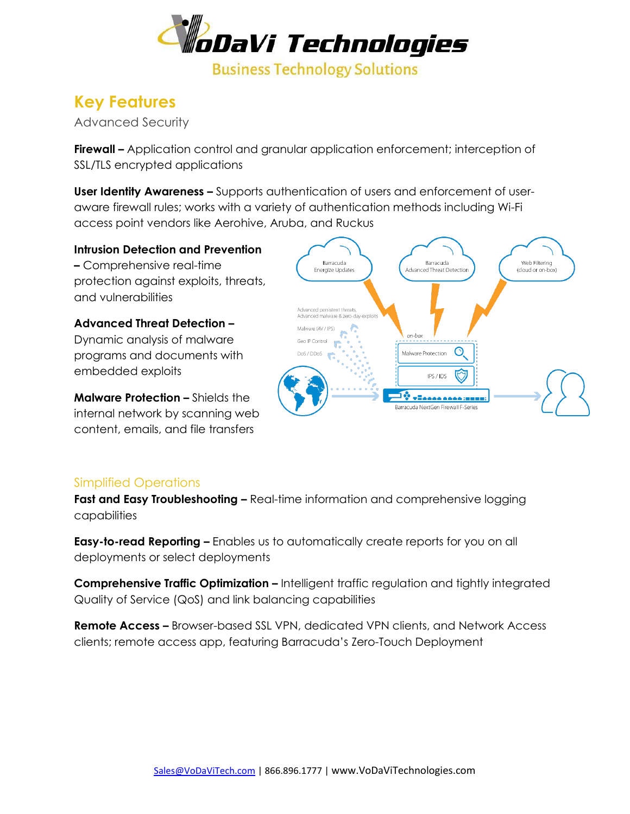

## **Key Features**

Advanced Security

**Firewall –** Application control and granular application enforcement; interception of SSL/TLS encrypted applications

**User Identity Awareness –** Supports authentication of users and enforcement of useraware firewall rules; works with a variety of authentication methods including Wi-Fi access point vendors like Aerohive, Aruba, and Ruckus

**Intrusion Detection and Prevention –** Comprehensive real-time protection against exploits, threats, and vulnerabilities

**Advanced Threat Detection –** Dynamic analysis of malware programs and documents with embedded exploits

**Malware Protection –** Shields the internal network by scanning web content, emails, and file transfers



#### Simplified Operations

**Fast and Easy Troubleshooting –** Real-time information and comprehensive logging capabilities

**Easy-to-read Reporting –** Enables us to automatically create reports for you on all deployments or select deployments

**Comprehensive Traffic Optimization –** Intelligent traffic regulation and tightly integrated Quality of Service (QoS) and link balancing capabilities

**Remote Access –** Browser-based SSL VPN, dedicated VPN clients, and Network Access clients; remote access app, featuring Barracuda's Zero-Touch Deployment